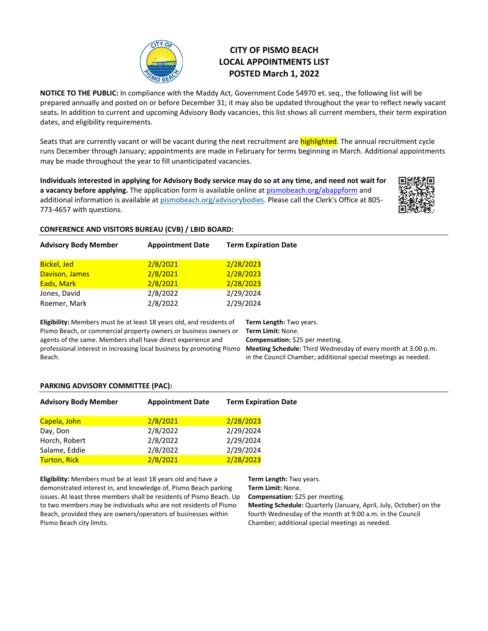

# **CITY OF PISMO BEACH LOCAL APPOINTMENTS LIST POSTED March 1, 2022**

**NOTICE TO THE PUBLIC:** In compliance with the Maddy Act, Government Code 54970 et. seq., the following list will be prepared annually and posted on or before December 31; it may also be updated throughout the year to reflect newly vacant seats**.** In addition to current and upcoming Advisory Body vacancies, this list shows all current members, their term expiration dates, and eligibility requirements.

Seats that are currently vacant or will be vacant during the next recruitment are **highlighted**. The annual recruitment cycle runs December through January; appointments are made in February for terms beginning in March. Additional appointments may be made throughout the year to fill unanticipated vacancies.

**Individuals interested in applying for Advisory Body service may do so at any time, and need not wait for a vacancy before applying.** The application form is available online a[t pismobeach.org/abappform](https://pismoforms.pismobeach.org/Forms/advisorybodyapplication) and additional information is available a[t pismobeach.org/advisorybodies.](http://www.pismobeach.org/676/Advisory-Bodies) Please call the Clerk's Office at 805-773-4657 with questions.



## **CONFERENCE AND VISITORS BUREAU (CVB) / LBID BOARD:**

| <b>Advisory Body Member</b>                                                                                                                     | <b>Appointment Date</b> | <b>Term Expiration Date</b>                  |
|-------------------------------------------------------------------------------------------------------------------------------------------------|-------------------------|----------------------------------------------|
| <b>Bickel, Jed</b>                                                                                                                              | 2/8/2021                | 2/28/2023                                    |
| Davison, James                                                                                                                                  | 2/8/2021                | 2/28/2023                                    |
| Eads, Mark                                                                                                                                      | 2/8/2021                | 2/28/2023                                    |
| Jones, David                                                                                                                                    | 2/8/2022                | 2/29/2024                                    |
| Roemer, Mark                                                                                                                                    | 2/8/2022                | 2/29/2024                                    |
|                                                                                                                                                 |                         |                                              |
| <b>Eligibility:</b> Members must be at least 18 years old, and residents of<br>Pismo Beach, or commercial property owners or business owners or |                         | Term Length: Two years.<br>Term Limit: None. |
|                                                                                                                                                 |                         |                                              |

agents of the same. Members shall have direct experience and professional interest in increasing local business by promoting Pismo Beach.

**Compensation:** \$25 per meeting. **Meeting Schedule:** Third Wednesday of every month at 3:00 p.m. in the Council Chamber; additional special meetings as needed.

# **PARKING ADVISORY COMMITTEE (PAC):**

| <b>Advisory Body Member</b> | <b>Appointment Date</b> | <b>Term Expiration Date</b> |
|-----------------------------|-------------------------|-----------------------------|
| Capela, John                | 2/8/2021                | 2/28/2023                   |
| Day, Don                    | 2/8/2022                | 2/29/2024                   |
| Horch, Robert               | 2/8/2022                | 2/29/2024                   |
| Salame, Eddie               | 2/8/2022                | 2/29/2024                   |
| <b>Turton, Rick</b>         | 2/8/2021                | 2/28/2023                   |

**Eligibility:** Members must be at least 18 years old and have a demonstrated interest in, and knowledge of, Pismo Beach parking issues. At least three members shall be residents of Pismo Beach. Up to two members may be individuals who are not residents of Pismo Beach, provided they are owners/operators of businesses within Pismo Beach city limits.

**Term Length:** Two years. **Term Limit:** None.

**Compensation:** \$25 per meeting.

**Meeting Schedule:** Quarterly (January, April, July, October) on the fourth Wednesday of the month at 9:00 a.m. in the Council Chamber; additional special meetings as needed.